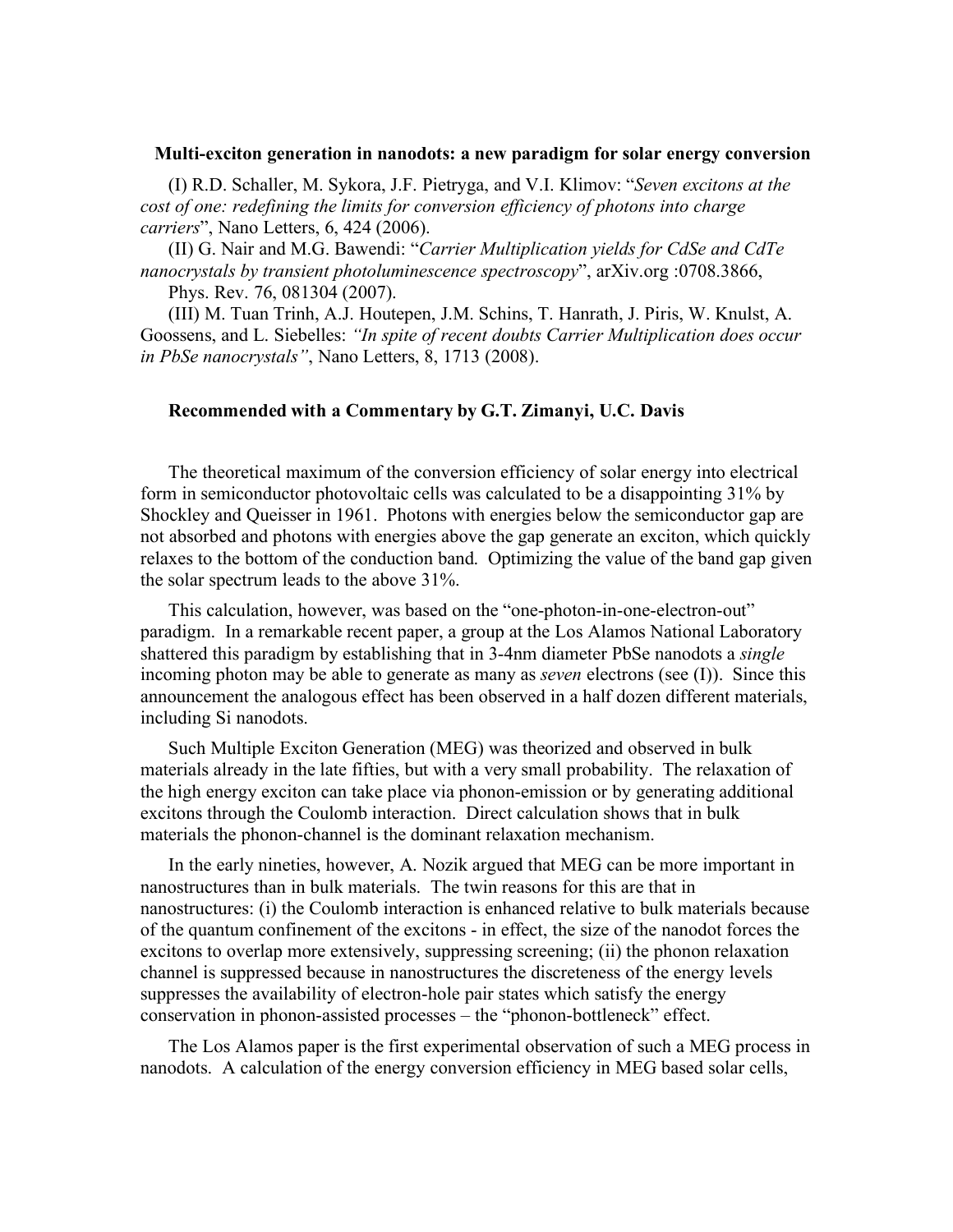## **Multi-exciton generation in nanodots: a new paradigm for solar energy conversion**

(I) R.D. Schaller, M. Sykora, J.F. Pietryga, and V.I. Klimov: "*Seven excitons at the cost of one: redefining the limits for conversion efficiency of photons into charge carriers*", Nano Letters, 6, 424 (2006).

(II) G. Nair and M.G. Bawendi: "*Carrier Multiplication yields for CdSe and CdTe nanocrystals by transient photoluminescence spectroscopy*", arXiv.org :0708.3866, Phys. Rev. 76, 081304 (2007).

(III) M. Tuan Trinh, A.J. Houtepen, J.M. Schins, T. Hanrath, J. Piris, W. Knulst, A. Goossens, and L. Siebelles: *"In spite of recent doubts Carrier Multiplication does occur in PbSe nanocrystals"*, Nano Letters, 8, 1713 (2008).

## **Recommended with a Commentary by G.T. Zimanyi, U.C. Davis**

The theoretical maximum of the conversion efficiency of solar energy into electrical form in semiconductor photovoltaic cells was calculated to be a disappointing 31% by Shockley and Queisser in 1961. Photons with energies below the semiconductor gap are not absorbed and photons with energies above the gap generate an exciton, which quickly relaxes to the bottom of the conduction band. Optimizing the value of the band gap given the solar spectrum leads to the above 31%.

This calculation, however, was based on the "one-photon-in-one-electron-out" paradigm. In a remarkable recent paper, a group at the Los Alamos National Laboratory shattered this paradigm by establishing that in 3-4nm diameter PbSe nanodots a *single* incoming photon may be able to generate as many as *seven* electrons (see (I)). Since this announcement the analogous effect has been observed in a half dozen different materials, including Si nanodots.

Such Multiple Exciton Generation (MEG) was theorized and observed in bulk materials already in the late fifties, but with a very small probability. The relaxation of the high energy exciton can take place via phonon-emission or by generating additional excitons through the Coulomb interaction. Direct calculation shows that in bulk materials the phonon-channel is the dominant relaxation mechanism.

In the early nineties, however, A. Nozik argued that MEG can be more important in nanostructures than in bulk materials. The twin reasons for this are that in nanostructures: (i) the Coulomb interaction is enhanced relative to bulk materials because of the quantum confinement of the excitons - in effect, the size of the nanodot forces the excitons to overlap more extensively, suppressing screening; (ii) the phonon relaxation channel is suppressed because in nanostructures the discreteness of the energy levels suppresses the availability of electron-hole pair states which satisfy the energy conservation in phonon-assisted processes – the "phonon-bottleneck" effect.

The Los Alamos paper is the first experimental observation of such a MEG process in nanodots. A calculation of the energy conversion efficiency in MEG based solar cells,